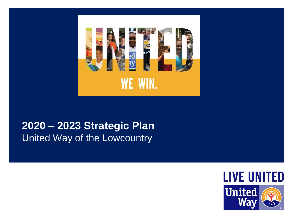

## **2020 – 2023 Strategic Plan** United Way of the Lowcountry

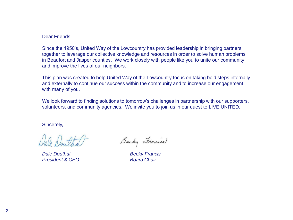Dear Friends,

Since the 1950's, United Way of the Lowcountry has provided leadership in bringing partners together to leverage our collective knowledge and resources in order to solve human problems in Beaufort and Jasper counties. We work closely with people like you to unite our community and improve the lives of our neighbors.

This plan was created to help United Way of the Lowcountry focus on taking bold steps internally and externally to continue our success within the community and to increase our engagement with many of you.

We look forward to finding solutions to tomorrow's challenges in partnership with our supporters, volunteers, and community agencies. We invite you to join us in our quest to LIVE UNITED.

Sincerely,

*Dale Douthat Becky Francis* **President & CEO Board Chair** 

Becky Frances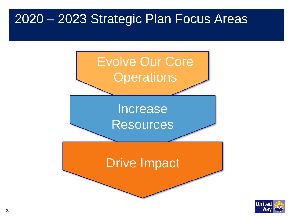# 2020 – 2023 Strategic Plan Focus Areas



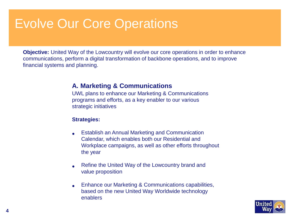**Objective:** United Way of the Lowcountry will evolve our core operations in order to enhance communications, perform a digital transformation of backbone operations, and to improve financial systems and planning.

### **A. Marketing & Communications**

UWL plans to enhance our Marketing & Communications programs and efforts, as a key enabler to our various strategic initiatives

- Establish an Annual Marketing and Communication Calendar, which enables both our Residential and Workplace campaigns, as well as other efforts throughout the year
- Refine the United Way of the Lowcountry brand and value proposition
- Enhance our Marketing & Communications capabilities, based on the new United Way Worldwide technology enablers

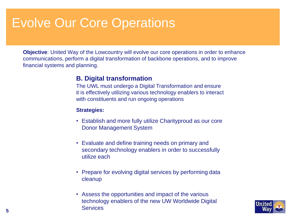**Objective**: United Way of the Lowcountry will evolve our core operations in order to enhance communications, perform a digital transformation of backbone operations, and to improve financial systems and planning.

### **B. Digital transformation**

The UWL must undergo a Digital Transformation and ensure it is effectively utilizing various technology enablers to interact with constituents and run ongoing operations

- Establish and more fully utilize Charityproud as our core Donor Management System
- Evaluate and define training needs on primary and secondary technology enablers in order to successfully utilize each
- Prepare for evolving digital services by performing data cleanup
- Assess the opportunities and impact of the various technology enablers of the new UW Worldwide Digital **Services**

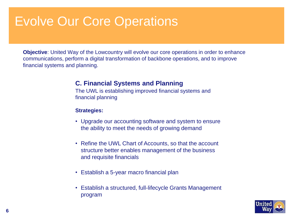**Objective**: United Way of the Lowcountry will evolve our core operations in order to enhance communications, perform a digital transformation of backbone operations, and to improve financial systems and planning.

### **C. Financial Systems and Planning**

The UWL is establishing improved financial systems and financial planning

- Upgrade our accounting software and system to ensure the ability to meet the needs of growing demand
- Refine the UWL Chart of Accounts, so that the account structure better enables management of the business and requisite financials
- Establish a 5-year macro financial plan
- Establish a structured, full-lifecycle Grants Management program

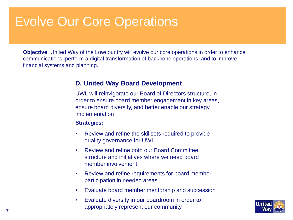**Objective**: United Way of the Lowcountry will evolve our core operations in order to enhance communications, perform a digital transformation of backbone operations, and to improve financial systems and planning.

### **D. United Way Board Development**

UWL will reinvigorate our Board of Directors structure, in order to ensure board member engagement in key areas, ensure board diversity, and better enable our strategy implementation

- Review and refine the skillsets required to provide quality governance for UWL
- Review and refine both our Board Committee structure and initiatives where we need board member involvement
- Review and refine requirements for board member participation in needed areas
- Evaluate board member mentorship and succession
- Evaluate diversity in our boardroom in order to appropriately represent our community

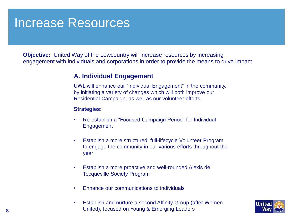# Increase Resources

**Objective:** United Way of the Lowcountry will increase resources by increasing engagement with individuals and corporations in order to provide the means to drive impact.

## **A. Individual Engagement**

UWL will enhance our "Individual Engagement" in the community, by initiating a variety of changes which will both improve our Residential Campaign, as well as our volunteer efforts.

- Re-establish a "Focused Campaign Period" for Individual Engagement
- Establish a more structured, full-lifecycle Volunteer Program to engage the community in our various efforts throughout the year
- Establish a more proactive and well-rounded Alexis de Tocqueville Society Program
- Enhance our communications to individuals
- Establish and nurture a second Affinity Group (after Women United), focused on Young & Emerging Leaders

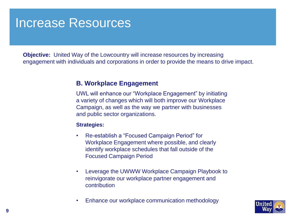## Increase Resources

**Objective:** United Way of the Lowcountry will increase resources by increasing engagement with individuals and corporations in order to provide the means to drive impact.

### **B. Workplace Engagement**

UWL will enhance our "Workplace Engagement" by initiating a variety of changes which will both improve our Workplace Campaign, as well as the way we partner with businesses and public sector organizations.

- Re-establish a "Focused Campaign Period" for Workplace Engagement where possible, and clearly identify workplace schedules that fall outside of the Focused Campaign Period
- Leverage the UWWW Workplace Campaign Playbook to reinvigorate our workplace partner engagement and contribution
- Enhance our workplace communication methodology

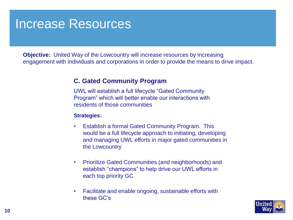# Increase Resources

**Objective:** United Way of the Lowcountry will increase resources by increasing engagement with individuals and corporations in order to provide the means to drive impact.

## **C. Gated Community Program**

UWL will establish a full lifecycle "Gated Community Program" which will better enable our interactions with residents of those communities

- Establish a formal Gated Community Program. This would be a full lifecycle approach to initiating, developing and managing UWL efforts in major gated communities in the Lowcountry
- Prioritize Gated Communities (and neighborhoods) and establish "champions" to help drive our UWL efforts in each top priority GC
- Facilitate and enable ongoing, sustainable efforts with these GC's

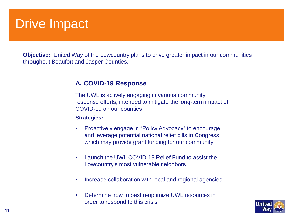# **Drive Impact**

**Objective:** United Way of the Lowcountry plans to drive greater impact in our communities throughout Beaufort and Jasper Counties.

## **A. COVID-19 Response**

The UWL is actively engaging in various community response efforts, intended to mitigate the long-term impact of COVID-19 on our counties

- Proactively engage in "Policy Advocacy" to encourage and leverage potential national relief bills in Congress, which may provide grant funding for our community
- Launch the UWL COVID-19 Relief Fund to assist the Lowcountry's most vulnerable neighbors
- Increase collaboration with local and regional agencies
- Determine how to best reoptimize UWL resources in order to respond to this crisis

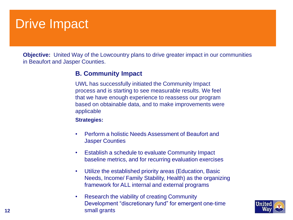# **Drive Impact**

**Objective:** United Way of the Lowcountry plans to drive greater impact in our communities in Beaufort and Jasper Counties.

## **B. Community Impact**

UWL has successfully initiated the Community Impact process and is starting to see measurable results. We feel that we have enough experience to reassess our program based on obtainable data, and to make improvements were applicable

- Perform a holistic Needs Assessment of Beaufort and Jasper Counties
- Establish a schedule to evaluate Community Impact baseline metrics, and for recurring evaluation exercises
- Utilize the established priority areas (Education, Basic Needs, Income/ Family Stability, Health) as the organizing framework for ALL internal and external programs
- Research the viability of creating Community Development "discretionary fund" for emergent one-time small grants